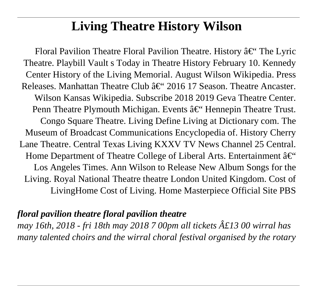# **Living Theatre History Wilson**

Floral Pavilion Theatre Floral Pavilion Theatre. History  $\hat{a}\in\hat{C}^*$  The Lyric Theatre. Playbill Vault s Today in Theatre History February 10. Kennedy Center History of the Living Memorial. August Wilson Wikipedia. Press Releases. Manhattan Theatre Club  $\hat{a}\in$ " 2016 17 Season. Theatre Ancaster. Wilson Kansas Wikipedia. Subscribe 2018 2019 Geva Theatre Center. Penn Theatre Plymouth Michigan. Events  $\hat{a} \in \hat{B}^{\text{th}}$  Hennepin Theatre Trust. Congo Square Theatre. Living Define Living at Dictionary com. The Museum of Broadcast Communications Encyclopedia of. History Cherry Lane Theatre. Central Texas Living KXXV TV News Channel 25 Central. Home Department of Theatre College of Liberal Arts. Entertainment  $\hat{a}\in\hat{C}$ Los Angeles Times. Ann Wilson to Release New Album Songs for the Living. Royal National Theatre theatre London United Kingdom. Cost of LivingHome Cost of Living. Home Masterpiece Official Site PBS

#### *floral pavilion theatre floral pavilion theatre*

*may 16th, 2018 - fri 18th may 2018 7 00pm all tickets £13 00 wirral has many talented choirs and the wirral choral festival organised by the rotary*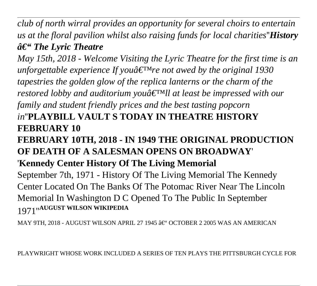*club of north wirral provides an opportunity for several choirs to entertain us at the floral pavilion whilst also raising funds for local charities*''*History*  $â€$ <sup>"</sup> The Lyric Theatre

*May 15th, 2018 - Welcome Visiting the Lyric Theatre for the first time is an unforgettable experience If you* $\hat{a} \in \mathbb{R}^N$ *re not awed by the original 1930 tapestries the golden glow of the replica lanterns or the charm of the restored lobby and auditorium youâ*  $\epsilon^{\text{TM}}$ *ll at least be impressed with our family and student friendly prices and the best tasting popcorn in*''**PLAYBILL VAULT S TODAY IN THEATRE HISTORY FEBRUARY 10**

# **FEBRUARY 10TH, 2018 - IN 1949 THE ORIGINAL PRODUCTION OF DEATH OF A SALESMAN OPENS ON BROADWAY**'

# '**Kennedy Center History Of The Living Memorial**

September 7th, 1971 - History Of The Living Memorial The Kennedy Center Located On The Banks Of The Potomac River Near The Lincoln Memorial In Washington D C Opened To The Public In September 1971''**AUGUST WILSON WIKIPEDIA**

MAY 9TH, 2018 - AUGUST WILSON APRIL 27 1945 â€" OCTOBER 2 2005 WAS AN AMERICAN

PLAYWRIGHT WHOSE WORK INCLUDED A SERIES OF TEN PLAYS THE PITTSBURGH CYCLE FOR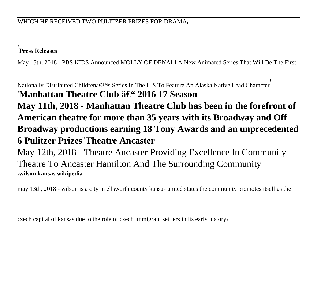#### '**Press Releases**

May 13th, 2018 - PBS KIDS Announced MOLLY OF DENALI A New Animated Series That Will Be The First

Nationally Distributed Children's Series In The U S To Feature An Alaska Native Lead Character 'Manhattan Theatre Club â€<sup>"</sup> 2016 17 Season **May 11th, 2018 - Manhattan Theatre Club has been in the forefront of American theatre for more than 35 years with its Broadway and Off Broadway productions earning 18 Tony Awards and an unprecedented 6 Pulitzer Prizes**''**Theatre Ancaster**

May 12th, 2018 - Theatre Ancaster Providing Excellence In Community Theatre To Ancaster Hamilton And The Surrounding Community' '**wilson kansas wikipedia**

may 13th, 2018 - wilson is a city in ellsworth county kansas united states the community promotes itself as the

czech capital of kansas due to the role of czech immigrant settlers in its early history'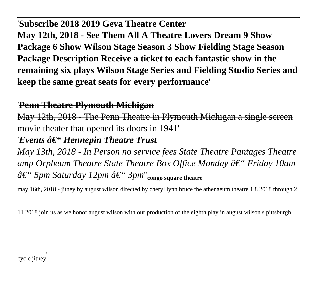#### '**Subscribe 2018 2019 Geva Theatre Center**

**May 12th, 2018 - See Them All A Theatre Lovers Dream 9 Show Package 6 Show Wilson Stage Season 3 Show Fielding Stage Season Package Description Receive a ticket to each fantastic show in the remaining six plays Wilson Stage Series and Fielding Studio Series and keep the same great seats for every performance**'

#### '**Penn Theatre Plymouth Michigan**

May 12th, 2018 - The Penn Theatre in Plymouth Michigan a single movie theater that opened its doors in 1941' *'Events â€*" *Hennepin Theatre Trust May 13th, 2018 - In Person no service fees State Theatre Pantages Theatre amp Orpheum Theatre State Theatre Box Office Monday â€*" *Friday 10am – 5pm Saturday 12pm – 3pm*''**congo square theatre**

may 16th, 2018 - jitney by august wilson directed by cheryl lynn bruce the athenaeum theatre 1 8 2018 through 2

11 2018 join us as we honor august wilson with our production of the eighth play in august wilson s pittsburgh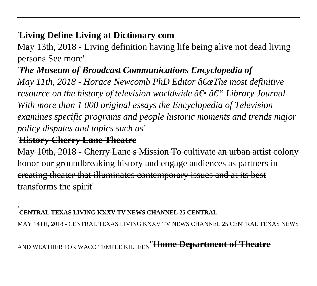# '**Living Define Living at Dictionary com**

May 13th, 2018 - Living definition having life being alive not dead living persons See more'

# '*The Museum of Broadcast Communications Encyclopedia of*

*May 11th, 2018 - Horace Newcomb PhD Editor "The most definitive resource on the history of television worldwide*  $\hat{a} \in \hat{a} \in \hat{a}$ *. Library Journal With more than 1 000 original essays the Encyclopedia of Television examines specific programs and people historic moments and trends major policy disputes and topics such as*'

### '**History Cherry Lane Theatre**

May 10th, 2018 - Cherry Lane s Mission To cultivate an urban artist colony honor our groundbreaking history and engage audiences as partners in creating theater that illuminates contemporary issues and at its best transforms the spirit'

#### '**CENTRAL TEXAS LIVING KXXV TV NEWS CHANNEL 25 CENTRAL**

MAY 14TH, 2018 - CENTRAL TEXAS LIVING KXXV TV NEWS CHANNEL 25 CENTRAL TEXAS NEWS

# AND WEATHER FOR WACO TEMPLE KILLEEN''**Home Department of Theatre**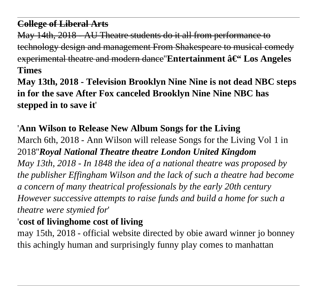# **College of Liberal Arts**

May 14th, 2018 - AU Theatre students do it all from performance to technology design and management From Shakespeare to musical comedy experimental theatre and modern dance"Entertainment â€" Los Angeles **Times**

**May 13th, 2018 - Television Brooklyn Nine Nine is not dead NBC steps in for the save After Fox canceled Brooklyn Nine Nine NBC has stepped in to save it**'

'**Ann Wilson to Release New Album Songs for the Living** March 6th, 2018 - Ann Wilson will release Songs for the Living Vol 1 in 2018''*Royal National Theatre theatre London United Kingdom May 13th, 2018 - In 1848 the idea of a national theatre was proposed by the publisher Effingham Wilson and the lack of such a theatre had become a concern of many theatrical professionals by the early 20th century However successive attempts to raise funds and build a home for such a theatre were stymied for*'

# '**cost of livinghome cost of living**

may 15th, 2018 - official website directed by obie award winner jo bonney this achingly human and surprisingly funny play comes to manhattan